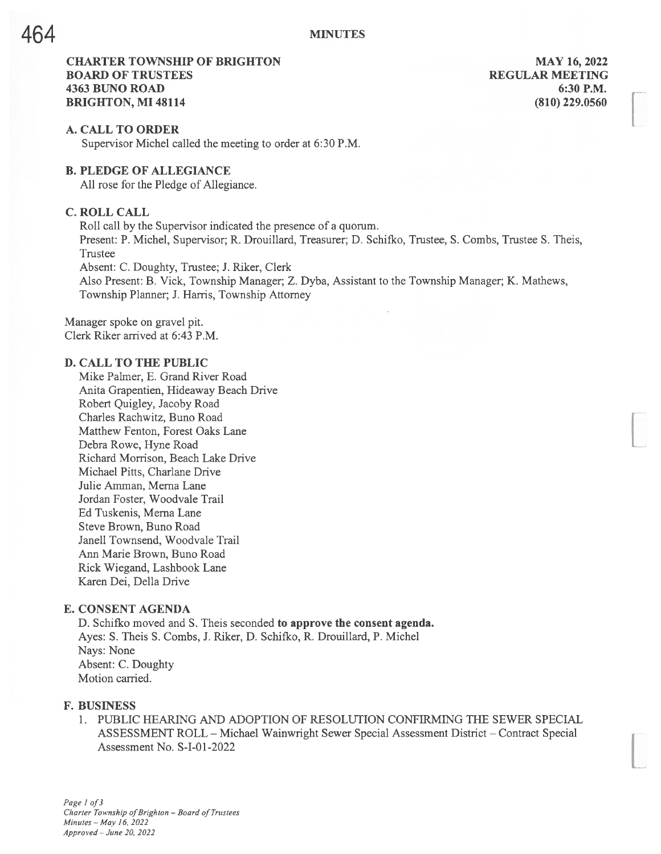# CHARTER TOWNSHIP OF BRIGHTON MAY 16, 2022 **BOARD OF TRUSTEES REGULAR MEETING** 4363 BUNO ROAD 6:30 P.M. BRIGHTON, MI 48114 (810) 229.0560

#### A. CALL TO ORDER

Supervisor Michel called the meeting to order at 6:30 P.M.

### B. PLEDGE OF ALLEGIANCE

All rose for the Pledge of Allegiance.

# C. ROLL CALL

Roll call by the Supervisor indicated the presence of <sup>a</sup> quorum. Present: P. Michel, Supervisor; R. Drouillard, Treasurer; D. Schifko, Trustee, S. Combs, Trustee S. Theis, Trustee Absent: C. Doughty, Trustee; J. Riker, Clerk

Also Present: B. Vick, Township Manager; Z. Dyba, Assistant to the Township Manager; K. Mathews, Township Planner; J. Harris, Township Attorney

Manager spoke on gravel pit. Clerk Riker arrived at 6:43 P.M.

#### D. CALL TO THE PUBLIC

Mike Palmer, E. Grand River Road Anita Grapentien, Hideaway Beach Drive Robert Quigley, Jacoby Road Charles Rachwitz, Buno Road Matthew Fenton, Forest Oaks Lane Debra Rowe, Hyne Road Richard Morrison, Beach Lake Drive Michael Pitts, Charlane Drive Julie Amman, Merna Lane Jordan Foster, Woodvale Trail Ed Tuskenis, Merna Lane Steve Brown, Buno Road Janell Townsend, Woodvale Trail Ann Marie Brown, Buno Road Rick Wiegand, Lashbook Lane Karen Dei, Della Drive

#### E. CONSENT AGENDA

D. Schifko moved and S. Theis seconded to approve the consent agenda. Ayes: S. Theis S. Combs, J. Riker, D. Schifko, R. Drouillard, P. Michel Nays: None Absent: C. Doughty Motion carried.

#### F. BUSINESS

1. PUBLIC HEARiNG AND ADOPTION OF RESOLUTION CONFIRMING THE SEWER SPECIAL ASSESSMENT ROLL — Michael Wainwright Sewer Special Assessment District — Contract Special Assessment No. S-I-01-2022

Page 1 of 3 Charter Township of Brighton - Board of Trustees Minutes — May 16. 2022 Approved - June 20, 2022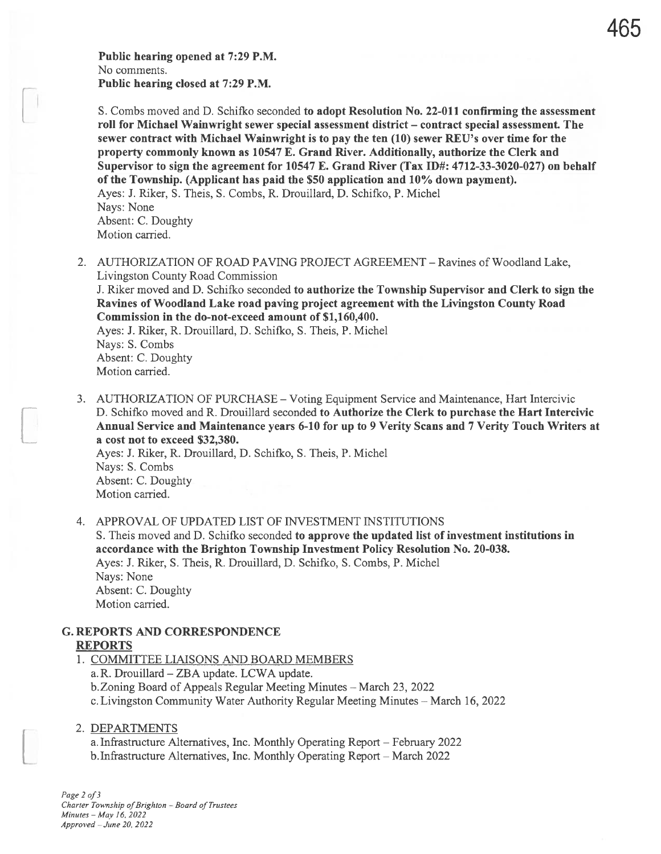Public hearing opened at 7:29 P.M. No comments. Public hearing closed at 7:29 P.M.

S. Combs moved and D. Schifko seconded to adopt Resolution No. 22-011 confirming the assessment roll for Michael Wainwright sewer special assessment district — contract special assessment. The sewer contract with Michael Wainwright is to pay the ten (10) sewer REU's over time for the property commonly known as 10547 E. Grand River. Additionally, authorize the Clerk and Supervisor to sign the agreement for 10547 E. Grand River (Tax ID#: 4712-33-3020-027) on behalf of the Township. (Applicant has paid the \$50 application and 10% down payment). Ayes: J. Riker, S. Theis, S. Combs, R. Drouillard, D. Schifko, P. Michel Nays: None Absent: C. Doughty Motion carried.

2. AUTHORIZATION OF ROAD PAVING PROJECT AGREEMENT - Ravines of Woodland Lake, Livingston County Road Commission

J. Riker moved and D. Schifko seconded to authorize the Township Supervisor and Clerk to sign the Ravines of Woodland Lake road paving project agreement with the Livingston County Road Commission in the do-not-exceed amount of \$1,160,400.

Ayes: J. Riker, R. Drouillard, D. Schifko, S. Theis, P. Michel Nays: S. Combs Absent: C. Doughty Motion carried.

3. AUTHORIZATION OF PURCHASE — Voting Equipment Service and Maintenance, Hart Intercivic D. Schifko moved and R. Drouillard seconded to Authorize the Clerk to purchase the Hart Intercivic Annual Service and Maintenance years 6-10 for up to 9 Verity Scans and <sup>7</sup> Verity Touch Writers at a cost not to exceed \$32,380.

Ayes: J. Riker, R. Drouillard, D. Schifko, S. Theis, P. Michel Nays: S. Combs Absent: C. Doughty Motion carried.

#### 4. APPROVAL OF UPDATED LIST OF INVESTMENT INSTITUTIONS

S. Theis moved and D. Schifko seconded to approve the updated list of investment institutions in accordance with the Brighton Township Investment Policy Resolution No. 20-038. Ayes: J. Piker, S. Theis, R. Drouillard, D. Schifko, S. Combs, P. Michel Nays: None Absent: C. Doughty Motion carried.

# G. REPORTS AND CORRESPONDENCE REPORTS

1. COMMITTEE LIAISONS AND BOARD MEMBERS

a. R. Drouillard — ZBA update. LCWA update. b.Zoning Board of Appeals Regular Meeting Minutes — March 23, 2022 c. Livingston Community Water Authority Regular Meeting Minutes — March 16, 2022

#### 2. DEPARTMENTS

a. Infrastructure Alternatives, Inc. Monthly Operating Report — February 2022 b.Infrastructure Alternatives, Inc. Monthly Operating Report — March 2022

Page 2 of 3 Charter Township of Brighton - Board of Trustees Minutes — May 16, 2022 Approved - June 20, 2022